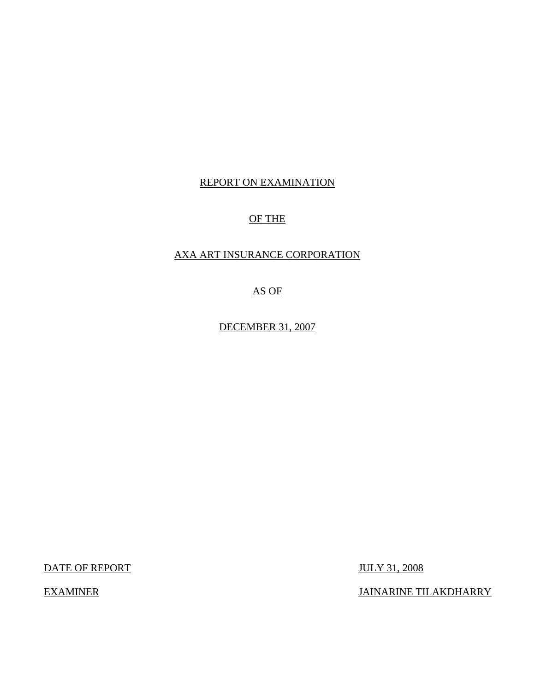# REPORT ON EXAMINATION

# OF THE

# AXA ART INSURANCE CORPORATION

AS OF

DECEMBER 31, 2007

DATE OF REPORT JULY 31, 2008

EXAMINER JAINARINE TILAKDHARRY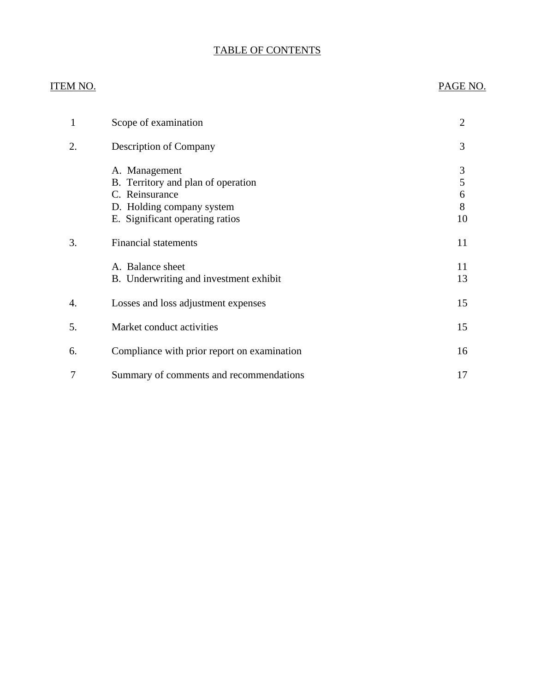# TABLE OF CONTENTS

# ITEM NO. PAGE NO.

| 1  | Scope of examination                                                                                                                  | $\overline{2}$         |
|----|---------------------------------------------------------------------------------------------------------------------------------------|------------------------|
| 2. | Description of Company                                                                                                                | 3                      |
|    | A. Management<br>B. Territory and plan of operation<br>C. Reinsurance<br>D. Holding company system<br>E. Significant operating ratios | 3<br>5<br>6<br>8<br>10 |
| 3. | <b>Financial statements</b>                                                                                                           | 11                     |
|    | A. Balance sheet<br>B. Underwriting and investment exhibit                                                                            | 11<br>13               |
| 4. | Losses and loss adjustment expenses                                                                                                   | 15                     |
| 5. | Market conduct activities                                                                                                             | 15                     |
| 6. | Compliance with prior report on examination                                                                                           | 16                     |
| 7  | Summary of comments and recommendations                                                                                               | 17                     |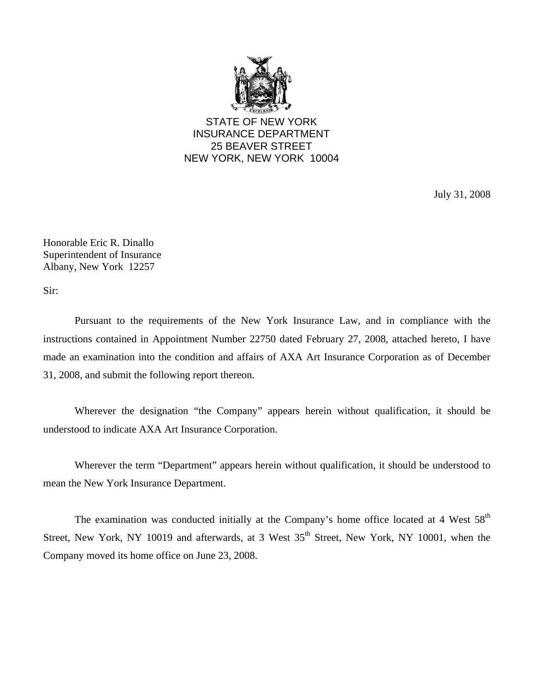

STATE OF NEW YORK INSURANCE DEPARTMENT 25 BEAVER STREET NEW YORK, NEW YORK 10004

July 31, 2008

Honorable Eric R. Dinallo Superintendent of Insurance Albany, New York 12257

Sir:

Pursuant to the requirements of the New York Insurance Law, and in compliance with the instructions contained in Appointment Number 22750 dated February 27, 2008, attached hereto, I have made an examination into the condition and affairs of AXA Art Insurance Corporation as of December 31, 2008, and submit the following report thereon.

Wherever the designation "the Company" appears herein without qualification, it should be understood to indicate AXA Art Insurance Corporation.

Wherever the term "Department" appears herein without qualification, it should be understood to mean the New York Insurance Department.

The examination was conducted initially at the Company's home office located at 4 West  $58<sup>th</sup>$ Street, New York, NY 10019 and afterwards, at 3 West 35<sup>th</sup> Street, New York, NY 10001, when the Company moved its home office on June 23, 2008.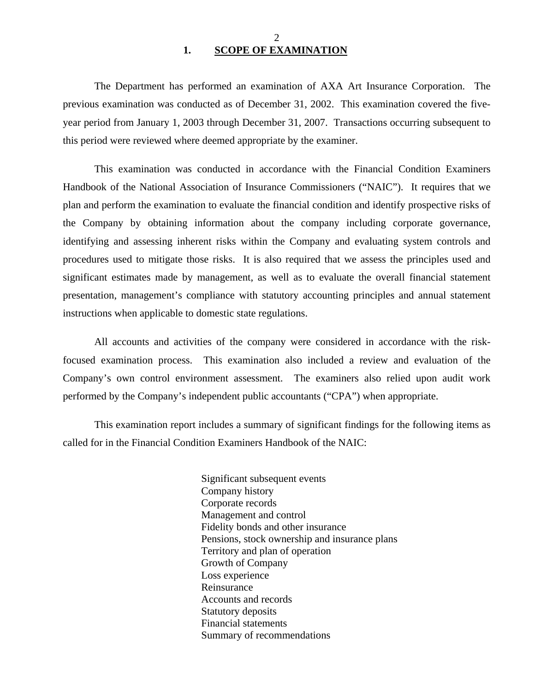## $\mathcal{D}_{\mathcal{L}}$ **1. SCOPE OF EXAMINATION**

<span id="page-3-0"></span>The Department has performed an examination of AXA Art Insurance Corporation. The previous examination was conducted as of December 31, 2002. This examination covered the fiveyear period from January 1, 2003 through December 31, 2007. Transactions occurring subsequent to this period were reviewed where deemed appropriate by the examiner.

This examination was conducted in accordance with the Financial Condition Examiners Handbook of the National Association of Insurance Commissioners ("NAIC"). It requires that we plan and perform the examination to evaluate the financial condition and identify prospective risks of the Company by obtaining information about the company including corporate governance, identifying and assessing inherent risks within the Company and evaluating system controls and procedures used to mitigate those risks. It is also required that we assess the principles used and significant estimates made by management, as well as to evaluate the overall financial statement presentation, management's compliance with statutory accounting principles and annual statement instructions when applicable to domestic state regulations.

All accounts and activities of the company were considered in accordance with the riskfocused examination process. This examination also included a review and evaluation of the Company's own control environment assessment. The examiners also relied upon audit work performed by the Company's independent public accountants ("CPA") when appropriate.

This examination report includes a summary of significant findings for the following items as called for in the Financial Condition Examiners Handbook of the NAIC:

> Significant subsequent events Company history Corporate records Management and control Fidelity bonds and other insurance Pensions, stock ownership and insurance plans Territory and plan of operation Growth of Company Loss experience Reinsurance Accounts and records Statutory deposits Financial statements Summary of recommendations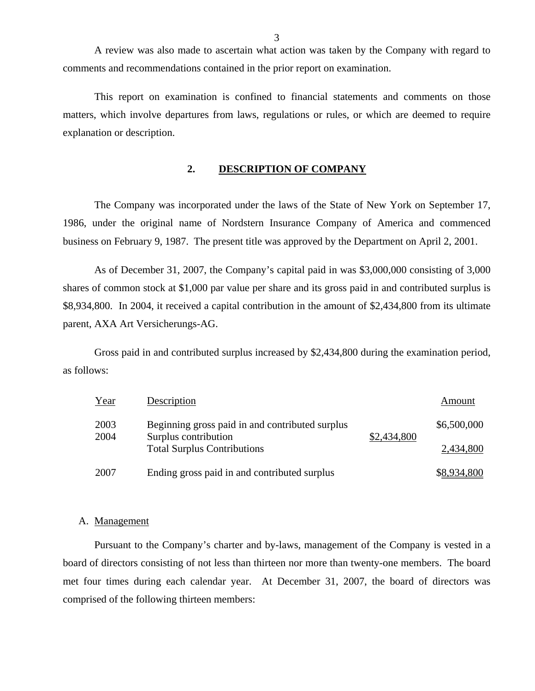A review was also made to ascertain what action was taken by the Company with regard to comments and recommendations contained in the prior report on examination.

This report on examination is confined to financial statements and comments on those matters, which involve departures from laws, regulations or rules, or which are deemed to require explanation or description.

## **2. DESCRIPTION OF COMPANY**

The Company was incorporated under the laws of the State of New York on September 17, 1986, under the original name of Nordstern Insurance Company of America and commenced business on February 9, 1987. The present title was approved by the Department on April 2, 2001.

As of December 31, 2007, the Company's capital paid in was \$3,000,000 consisting of 3,000 shares of common stock at \$1,000 par value per share and its gross paid in and contributed surplus is \$8,934,800. In 2004, it received a capital contribution in the amount of \$2,434,800 from its ultimate parent, AXA Art Versicherungs-AG.

Gross paid in and contributed surplus increased by \$2,434,800 during the examination period, as follows:

| Year         | Description                                                             |             | Amount      |
|--------------|-------------------------------------------------------------------------|-------------|-------------|
| 2003<br>2004 | Beginning gross paid in and contributed surplus<br>Surplus contribution | \$2,434,800 | \$6,500,000 |
|              | <b>Total Surplus Contributions</b>                                      |             | 2,434,800   |
| 2007         | Ending gross paid in and contributed surplus                            |             | \$8,934,800 |

#### A. Management

Pursuant to the Company's charter and by-laws, management of the Company is vested in a board of directors consisting of not less than thirteen nor more than twenty-one members. The board met four times during each calendar year. At December 31, 2007, the board of directors was comprised of the following thirteen members: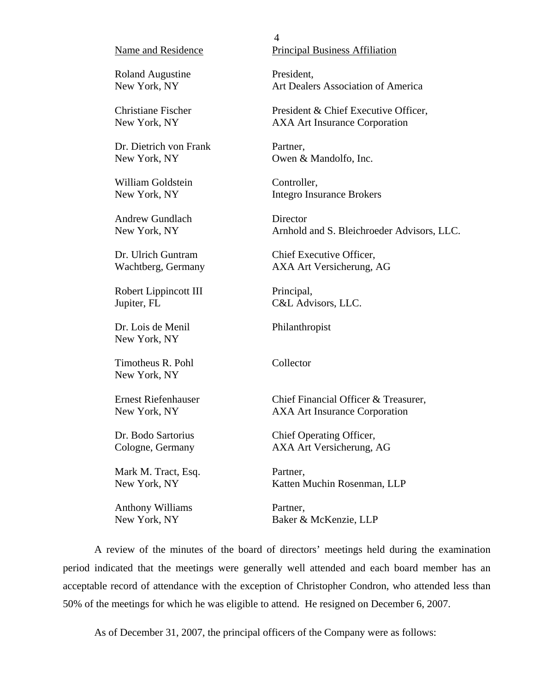#### Name and Residence

Roland Augustine New York, NY

Christiane Fischer New York, NY

Dr. Dietrich von Frank New York, NY

William Goldstein New York, NY

Andrew Gundlach New York, NY

Dr. Ulrich Guntram Wachtberg, Germany

Robert Lippincott III Jupiter, FL

Dr. Lois de Menil New York, NY

Timotheus R. Pohl New York, NY

Ernest Riefenhauser New York, NY

Dr. Bodo Sartorius Cologne, Germany

Mark M. Tract, Esq. New York, NY

Anthony Williams New York, NY

4 Principal Business Affiliation

President, Art Dealers Association of America

President & Chief Executive Officer, AXA Art Insurance Corporation

Partner, Owen & Mandolfo, Inc.

Controller, Integro Insurance Brokers

Director Arnhold and S. Bleichroeder Advisors, LLC.

Chief Executive Officer, AXA Art Versicherung, AG

Principal, C&L Advisors, LLC.

Philanthropist

Collector

Chief Financial Officer & Treasurer, AXA Art Insurance Corporation

Chief Operating Officer, AXA Art Versicherung, AG

Partner, Katten Muchin Rosenman, LLP

Partner, Baker & McKenzie, LLP

A review of the minutes of the board of directors' meetings held during the examination period indicated that the meetings were generally well attended and each board member has an acceptable record of attendance with the exception of Christopher Condron, who attended less than 50% of the meetings for which he was eligible to attend. He resigned on December 6, 2007.

As of December 31, 2007, the principal officers of the Company were as follows: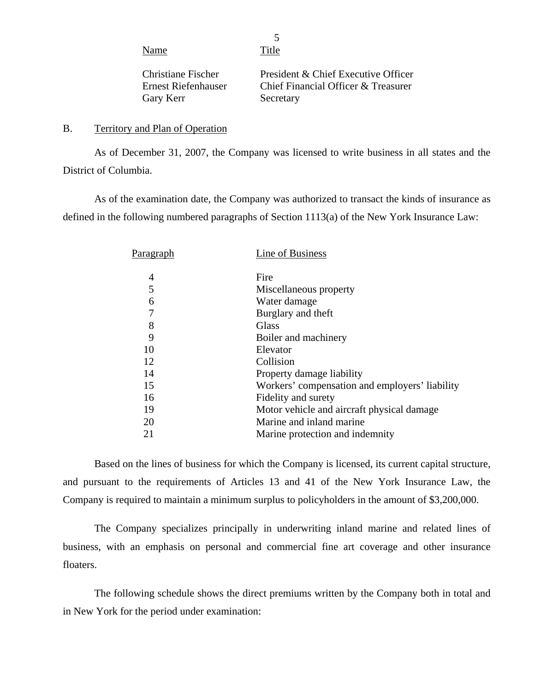Name Title

5

Christiane Fischer Ernest Riefenhauser Gary Kerr

President & Chief Executive Officer Chief Financial Officer & Treasurer Secretary

## B. Territory and Plan of Operation

As of December 31, 2007, the Company was licensed to write business in all states and the District of Columbia.

As of the examination date, the Company was authorized to transact the kinds of insurance as defined in the following numbered paragraphs of Section 1113(a) of the New York Insurance Law:

| P <u>aragraph</u> | Line of Business                               |
|-------------------|------------------------------------------------|
| 4                 | Fire                                           |
| 5                 | Miscellaneous property                         |
| 6                 | Water damage                                   |
| 7                 | Burglary and theft                             |
| 8                 | Glass                                          |
| 9                 | Boiler and machinery                           |
| 10                | Elevator                                       |
| 12                | Collision                                      |
| 14                | Property damage liability                      |
| 15                | Workers' compensation and employers' liability |
| 16                | Fidelity and surety                            |
| 19                | Motor vehicle and aircraft physical damage     |
| 20                | Marine and inland marine                       |
| 21                | Marine protection and indemnity                |

Based on the lines of business for which the Company is licensed, its current capital structure, and pursuant to the requirements of Articles 13 and 41 of the New York Insurance Law, the Company is required to maintain a minimum surplus to policyholders in the amount of \$3,200,000.

The Company specializes principally in underwriting inland marine and related lines of business, with an emphasis on personal and commercial fine art coverage and other insurance floaters.

The following schedule shows the direct premiums written by the Company both in total and in New York for the period under examination: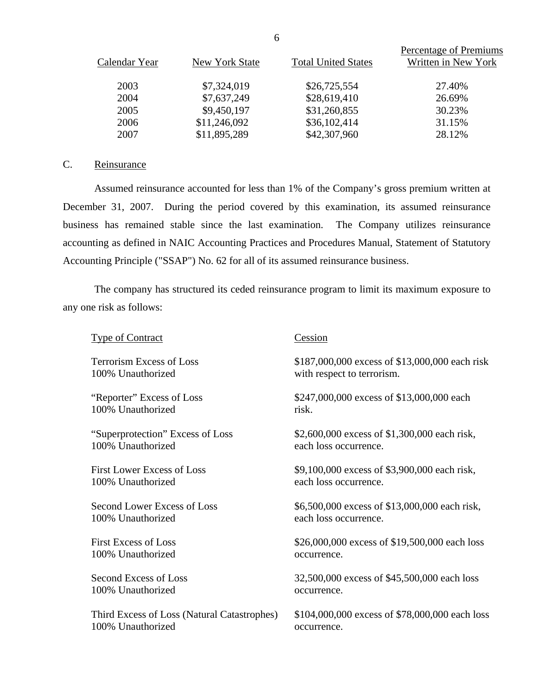<span id="page-7-0"></span>

|               |                |                            | Percentage of Premiums |
|---------------|----------------|----------------------------|------------------------|
| Calendar Year | New York State | <b>Total United States</b> | Written in New York    |
|               |                |                            |                        |
| 2003          | \$7,324,019    | \$26,725,554               | 27.40%                 |
| 2004          | \$7,637,249    | \$28,619,410               | 26.69%                 |
| 2005          | \$9,450,197    | \$31,260,855               | 30.23%                 |
| 2006          | \$11,246,092   | \$36,102,414               | 31.15%                 |
| 2007          | \$11,895,289   | \$42,307,960               | 28.12%                 |

## C. Reinsurance

Assumed reinsurance accounted for less than 1% of the Company's gross premium written at December 31, 2007. During the period covered by this examination, its assumed reinsurance business has remained stable since the last examination. The Company utilizes reinsurance accounting as defined in NAIC Accounting Practices and Procedures Manual, Statement of Statutory Accounting Principle ("SSAP") No. 62 for all of its assumed reinsurance business.

The company has structured its ceded reinsurance program to limit its maximum exposure to any one risk as follows:

| Type of Contract                            | Cession                                        |
|---------------------------------------------|------------------------------------------------|
| <b>Terrorism Excess of Loss</b>             | \$187,000,000 excess of \$13,000,000 each risk |
| 100% Unauthorized                           | with respect to terrorism.                     |
| "Reporter" Excess of Loss                   | \$247,000,000 excess of \$13,000,000 each      |
| 100% Unauthorized                           | risk.                                          |
| "Superprotection" Excess of Loss            | \$2,600,000 excess of \$1,300,000 each risk,   |
| 100% Unauthorized                           | each loss occurrence.                          |
| <b>First Lower Excess of Loss</b>           | \$9,100,000 excess of \$3,900,000 each risk,   |
| 100% Unauthorized                           | each loss occurrence.                          |
| Second Lower Excess of Loss                 | \$6,500,000 excess of \$13,000,000 each risk,  |
| 100% Unauthorized                           | each loss occurrence.                          |
| <b>First Excess of Loss</b>                 | \$26,000,000 excess of \$19,500,000 each loss  |
| 100% Unauthorized                           | occurrence.                                    |
| Second Excess of Loss                       | 32,500,000 excess of \$45,500,000 each loss    |
| 100% Unauthorized                           | occurrence.                                    |
| Third Excess of Loss (Natural Catastrophes) | \$104,000,000 excess of \$78,000,000 each loss |
| 100% Unauthorized                           | occurrence.                                    |

6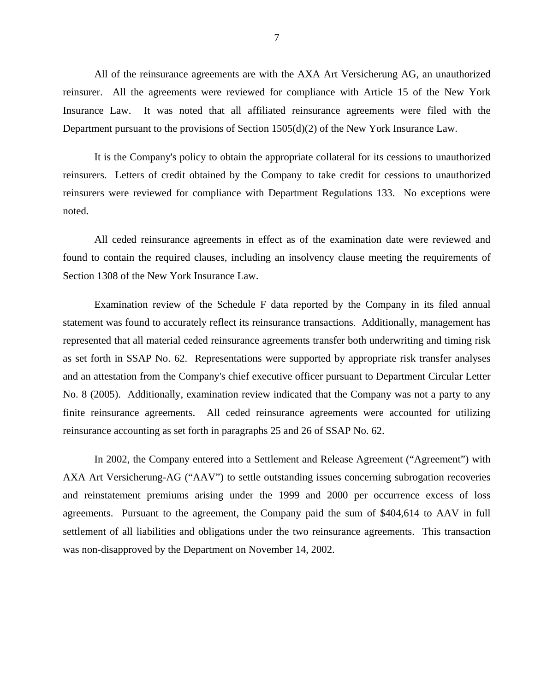All of the reinsurance agreements are with the AXA Art Versicherung AG, an unauthorized reinsurer. All the agreements were reviewed for compliance with Article 15 of the New York Insurance Law. It was noted that all affiliated reinsurance agreements were filed with the Department pursuant to the provisions of Section 1505(d)(2) of the New York Insurance Law.

It is the Company's policy to obtain the appropriate collateral for its cessions to unauthorized reinsurers. Letters of credit obtained by the Company to take credit for cessions to unauthorized reinsurers were reviewed for compliance with Department Regulations 133. No exceptions were noted.

All ceded reinsurance agreements in effect as of the examination date were reviewed and found to contain the required clauses, including an insolvency clause meeting the requirements of Section 1308 of the New York Insurance Law.

Examination review of the Schedule F data reported by the Company in its filed annual statement was found to accurately reflect its reinsurance transactions. Additionally, management has represented that all material ceded reinsurance agreements transfer both underwriting and timing risk as set forth in SSAP No. 62. Representations were supported by appropriate risk transfer analyses and an attestation from the Company's chief executive officer pursuant to Department Circular Letter No. 8 (2005). Additionally, examination review indicated that the Company was not a party to any finite reinsurance agreements. All ceded reinsurance agreements were accounted for utilizing reinsurance accounting as set forth in paragraphs 25 and 26 of SSAP No. 62.

In 2002, the Company entered into a Settlement and Release Agreement ("Agreement") with AXA Art Versicherung-AG ("AAV") to settle outstanding issues concerning subrogation recoveries and reinstatement premiums arising under the 1999 and 2000 per occurrence excess of loss agreements. Pursuant to the agreement, the Company paid the sum of \$404,614 to AAV in full settlement of all liabilities and obligations under the two reinsurance agreements. This transaction was non-disapproved by the Department on November 14, 2002.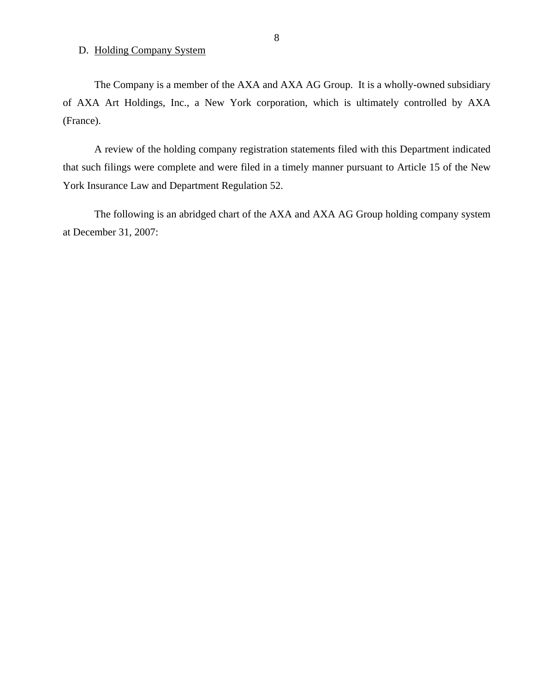## <span id="page-9-0"></span>D. Holding Company System

The Company is a member of the AXA and AXA AG Group. It is a wholly-owned subsidiary of AXA Art Holdings, Inc., a New York corporation, which is ultimately controlled by AXA (France).

A review of the holding company registration statements filed with this Department indicated that such filings were complete and were filed in a timely manner pursuant to Article 15 of the New York Insurance Law and Department Regulation 52.

The following is an abridged chart of the AXA and AXA AG Group holding company system at December 31, 2007: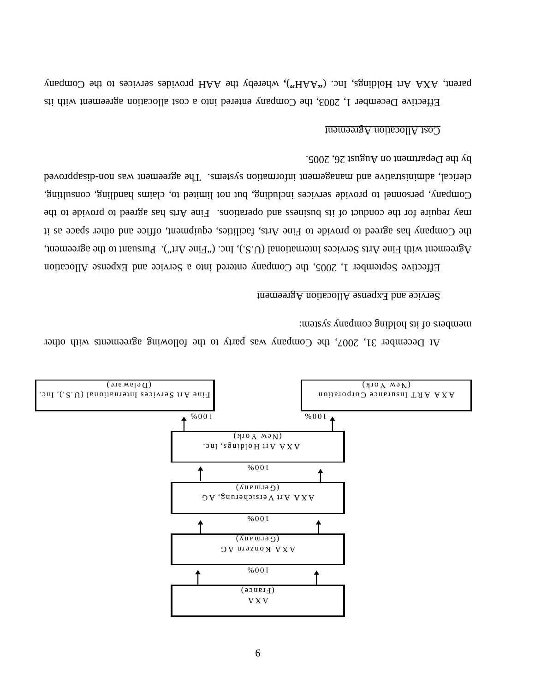

At December 31, 2007, the Company was party to the following agreements with other members of its holding company system:

## Service and Expense Allocation Agreement

Effective September 1, 2005, the Company entered into a Service and Expense Allocation Agreement with Fine Arts Services International (U.S.U) Inc. ("Fine Art"). Pursuant to the agreement,  $\alpha$ the Company has agreed to hovide to Fine Arts, facilities, equipment, office and other space as it tions. Finally separate to the conduct of its business agreed to the may reduce to provide to the provide to the Company, personal to provide services including, but not limited to, claims handling, consulting, clerical, administration sustems. The agreement was non-disapproved clear and management information and management information and management information and management information and management information and managemen by the Department on August 26, 2005.

#### Cost Allocation Agreement

Effective December 1, 2003, the Company entered into a cost allocation agreement with its parent, AXA Art Holdings, onl. ("HAA"), whereby the AAH provides esprices to the Company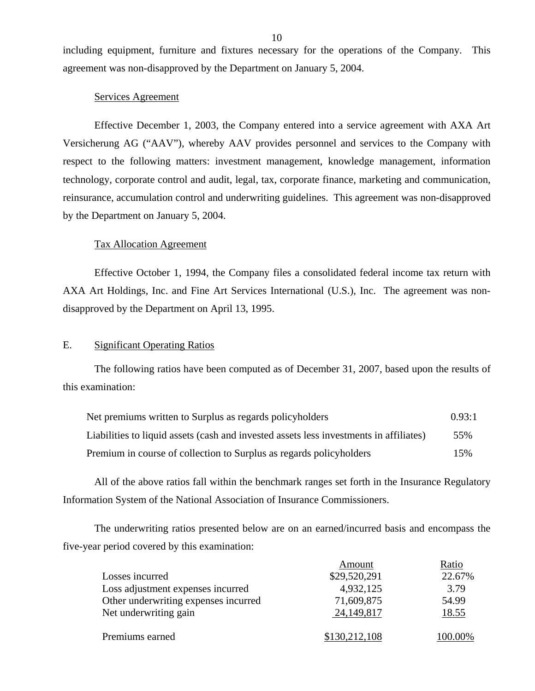including equipment, furniture and fixtures necessary for the operations of the Company. This agreement was non-disapproved by the Department on January 5, 2004.

### Services Agreement

Effective December 1, 2003, the Company entered into a service agreement with AXA Art Versicherung AG ("AAV"), whereby AAV provides personnel and services to the Company with respect to the following matters: investment management, knowledge management, information technology, corporate control and audit, legal, tax, corporate finance, marketing and communication, reinsurance, accumulation control and underwriting guidelines. This agreement was non-disapproved by the Department on January 5, 2004.

#### Tax Allocation Agreement

Effective October 1, 1994, the Company files a consolidated federal income tax return with AXA Art Holdings, Inc. and Fine Art Services International (U.S.), Inc. The agreement was nondisapproved by the Department on April 13, 1995.

### E. Significant Operating Ratios

The following ratios have been computed as of December 31, 2007, based upon the results of this examination:

| Net premiums written to Surplus as regards policyholders                               | 0.93:1 |
|----------------------------------------------------------------------------------------|--------|
| Liabilities to liquid assets (cash and invested assets less investments in affiliates) | 55%    |
| Premium in course of collection to Surplus as regards policyholders                    | 15%    |

All of the above ratios fall within the benchmark ranges set forth in the Insurance Regulatory Information System of the National Association of Insurance Commissioners.

The underwriting ratios presented below are on an earned/incurred basis and encompass the five-year period covered by this examination:

|                                      | Amount        | Ratio   |
|--------------------------------------|---------------|---------|
| Losses incurred                      | \$29,520,291  | 22.67%  |
| Loss adjustment expenses incurred    | 4,932,125     | 3.79    |
| Other underwriting expenses incurred | 71,609,875    | 54.99   |
| Net underwriting gain                | 24, 149, 817  | 18.55   |
| Premiums earned                      | \$130,212,108 | 100.00% |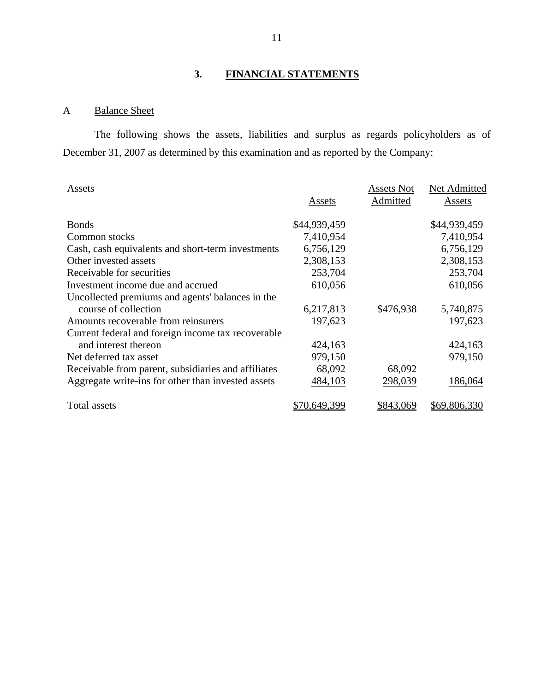# **3. FINANCIAL STATEMENTS**

# A Balance Sheet

The following shows the assets, liabilities and surplus as regards policyholders as of December 31, 2007 as determined by this examination and as reported by the Company:

| Assets                                              |              | <b>Assets Not</b> | Net Admitted |
|-----------------------------------------------------|--------------|-------------------|--------------|
|                                                     | Assets       | Admitted          | Assets       |
| <b>Bonds</b>                                        | \$44,939,459 |                   | \$44,939,459 |
| Common stocks                                       | 7,410,954    |                   | 7,410,954    |
| Cash, cash equivalents and short-term investments   | 6,756,129    |                   | 6,756,129    |
| Other invested assets                               | 2,308,153    |                   | 2,308,153    |
| Receivable for securities                           | 253,704      |                   | 253,704      |
| Investment income due and accrued                   | 610,056      |                   | 610,056      |
| Uncollected premiums and agents' balances in the    |              |                   |              |
| course of collection                                | 6,217,813    | \$476,938         | 5,740,875    |
| Amounts recoverable from reinsurers                 | 197,623      |                   | 197,623      |
| Current federal and foreign income tax recoverable  |              |                   |              |
| and interest thereon                                | 424,163      |                   | 424,163      |
| Net deferred tax asset                              | 979,150      |                   | 979,150      |
| Receivable from parent, subsidiaries and affiliates | 68,092       | 68,092            |              |
| Aggregate write-ins for other than invested assets  | 484,103      | 298,039           | 186,064      |
| Total assets                                        | \$70,649,399 | \$843,069         | \$69,806,330 |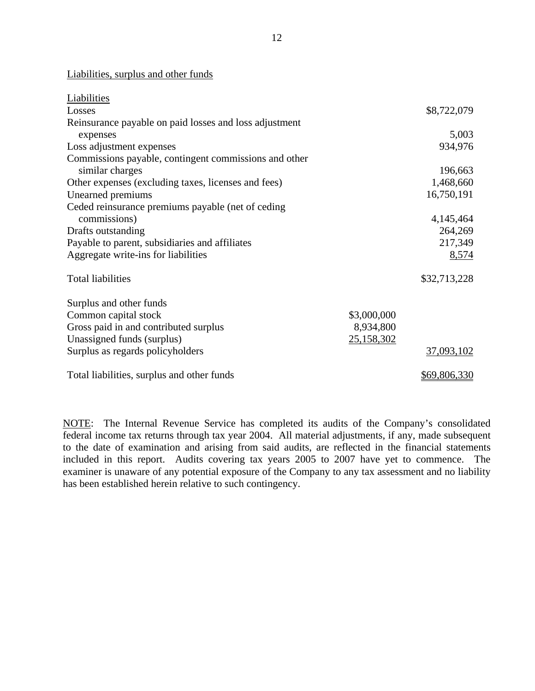Liabilities, surplus and other funds

| Liabilities                                            |             |              |
|--------------------------------------------------------|-------------|--------------|
| Losses                                                 |             | \$8,722,079  |
| Reinsurance payable on paid losses and loss adjustment |             |              |
| expenses                                               |             | 5,003        |
| Loss adjustment expenses                               |             | 934,976      |
| Commissions payable, contingent commissions and other  |             |              |
| similar charges                                        |             | 196,663      |
| Other expenses (excluding taxes, licenses and fees)    |             | 1,468,660    |
| Unearned premiums                                      |             | 16,750,191   |
| Ceded reinsurance premiums payable (net of ceding      |             |              |
| commissions)                                           |             | 4,145,464    |
| Drafts outstanding                                     |             | 264,269      |
| Payable to parent, subsidiaries and affiliates         |             | 217,349      |
| Aggregate write-ins for liabilities                    |             | 8,574        |
| <b>Total liabilities</b>                               |             | \$32,713,228 |
| Surplus and other funds                                |             |              |
| Common capital stock                                   | \$3,000,000 |              |
| Gross paid in and contributed surplus                  | 8,934,800   |              |
| Unassigned funds (surplus)                             | 25,158,302  |              |
| Surplus as regards policyholders                       |             | 37,093,102   |
| Total liabilities, surplus and other funds             |             | \$69,806,330 |

NOTE: The Internal Revenue Service has completed its audits of the Company's consolidated federal income tax returns through tax year 2004. All material adjustments, if any, made subsequent to the date of examination and arising from said audits, are reflected in the financial statements included in this report. Audits covering tax years 2005 to 2007 have yet to commence. The examiner is unaware of any potential exposure of the Company to any tax assessment and no liability has been established herein relative to such contingency.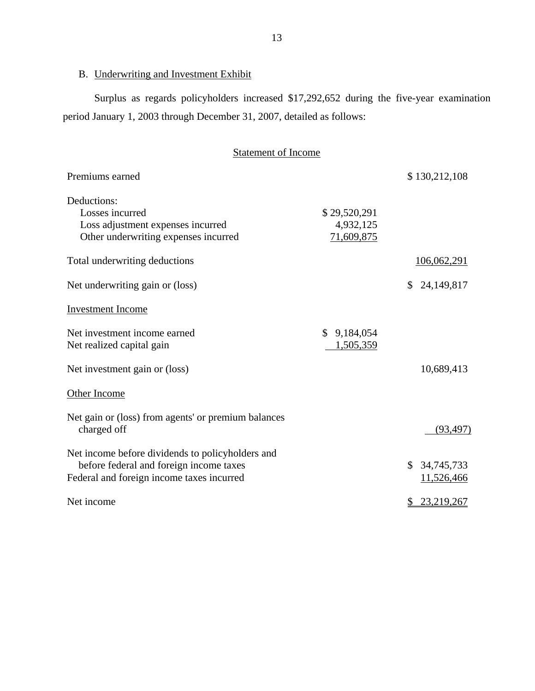# <span id="page-14-0"></span>B. Underwriting and Investment Exhibit

Surplus as regards policyholders increased \$17,292,652 during the five-year examination period January 1, 2003 through December 31, 2007, detailed as follows:

# Statement of Income

| Premiums earned                                                                                                                          |                                         | \$130,212,108              |
|------------------------------------------------------------------------------------------------------------------------------------------|-----------------------------------------|----------------------------|
| Deductions:<br>Losses incurred<br>Loss adjustment expenses incurred<br>Other underwriting expenses incurred                              | \$29,520,291<br>4,932,125<br>71,609,875 |                            |
| Total underwriting deductions                                                                                                            |                                         | 106,062,291                |
| Net underwriting gain or (loss)                                                                                                          |                                         | \$24,149,817               |
| <b>Investment Income</b>                                                                                                                 |                                         |                            |
| Net investment income earned<br>Net realized capital gain                                                                                | \$9,184,054<br>1,505,359                |                            |
| Net investment gain or (loss)                                                                                                            |                                         | 10,689,413                 |
| Other Income                                                                                                                             |                                         |                            |
| Net gain or (loss) from agents' or premium balances<br>charged off                                                                       |                                         | (93, 497)                  |
| Net income before dividends to policyholders and<br>before federal and foreign income taxes<br>Federal and foreign income taxes incurred |                                         | \$34,745,733<br>11,526,466 |
| Net income                                                                                                                               |                                         | 23,219,267                 |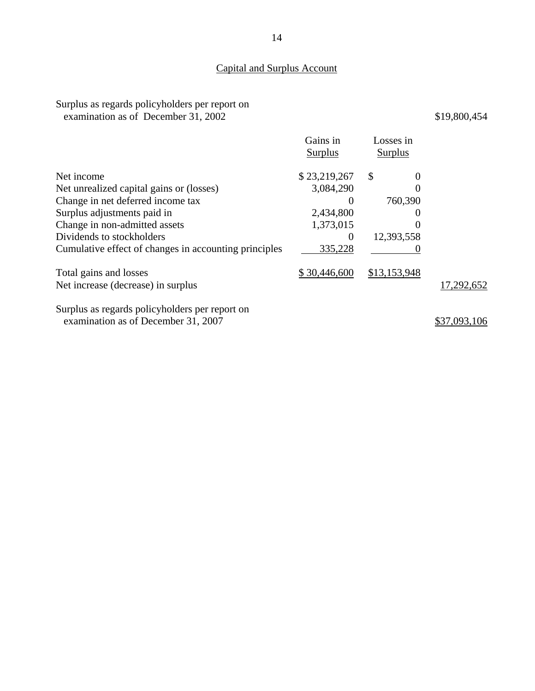# Capital and Surplus Account

## Surplus as regards policyholders per report on examination as of December 31, 2002

|                                                                                       | Gains in<br><b>Surplus</b> | Losses in<br><b>Surplus</b> |            |
|---------------------------------------------------------------------------------------|----------------------------|-----------------------------|------------|
| Net income                                                                            | \$23,219,267               | \$<br>$\theta$              |            |
| Net unrealized capital gains or (losses)                                              | 3,084,290                  | 0                           |            |
| Change in net deferred income tax                                                     |                            | 760,390                     |            |
| Surplus adjustments paid in                                                           | 2,434,800                  | $\theta$                    |            |
| Change in non-admitted assets                                                         | 1,373,015                  | 0                           |            |
| Dividends to stockholders                                                             | $\theta$                   | 12,393,558                  |            |
| Cumulative effect of changes in accounting principles                                 | 335,228                    |                             |            |
| Total gains and losses                                                                | \$30,446,600               | \$13,153,948                |            |
| Net increase (decrease) in surplus                                                    |                            |                             | 17,292,652 |
| Surplus as regards policyholders per report on<br>examination as of December 31, 2007 |                            |                             |            |
|                                                                                       |                            |                             |            |

\$19,800,454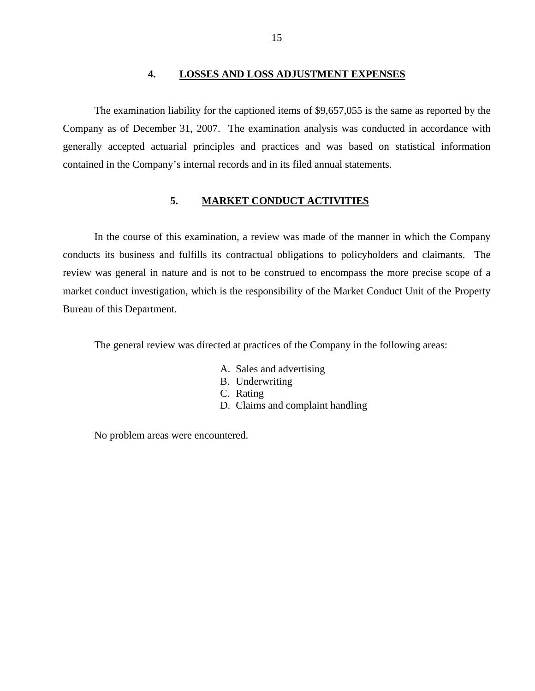## **4. LOSSES AND LOSS ADJUSTMENT EXPENSES**

<span id="page-16-0"></span>The examination liability for the captioned items of \$9,657,055 is the same as reported by the Company as of December 31, 2007. The examination analysis was conducted in accordance with generally accepted actuarial principles and practices and was based on statistical information contained in the Company's internal records and in its filed annual statements.

### **5. MARKET CONDUCT ACTIVITIES**

In the course of this examination, a review was made of the manner in which the Company conducts its business and fulfills its contractual obligations to policyholders and claimants. The review was general in nature and is not to be construed to encompass the more precise scope of a market conduct investigation, which is the responsibility of the Market Conduct Unit of the Property Bureau of this Department.

The general review was directed at practices of the Company in the following areas:

- A. Sales and advertising
- B. Underwriting
- C. Rating
- D. Claims and complaint handling

No problem areas were encountered.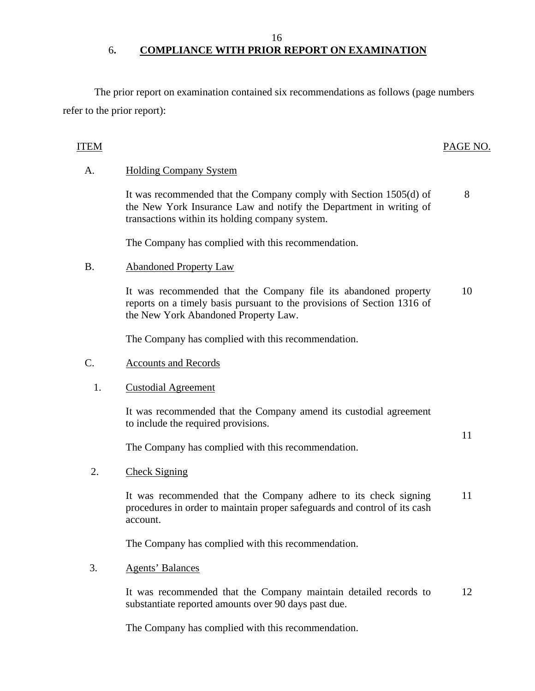16

# 6**. COMPLIANCE WITH PRIOR REPORT ON EXAMINATION**

The prior report on examination contained six recommendations as follows (page numbers refer to the prior report):

# ITEM PAGE NO.

# A. Holding Company System

It was recommended that the Company comply with Section 1505(d) of the New York Insurance Law and notify the Department in writing of transactions within its holding company system. 8

The Company has complied with this recommendation.

# B. Abandoned Property Law

It was recommended that the Company file its abandoned property reports on a timely basis pursuant to the provisions of Section 1316 of the New York Abandoned Property Law. 10

The Company has complied with this recommendation.

## C. Accounts and Records

## 1. Custodial Agreement

It was recommended that the Company amend its custodial agreement to include the required provisions.

11

The Company has complied with this recommendation.

2. Check Signing

It was recommended that the Company adhere to its check signing procedures in order to maintain proper safeguards and control of its cash account. 11

The Company has complied with this recommendation.

## 3. Agents' Balances

It was recommended that the Company maintain detailed records to substantiate reported amounts over 90 days past due. 12

The Company has complied with this recommendation.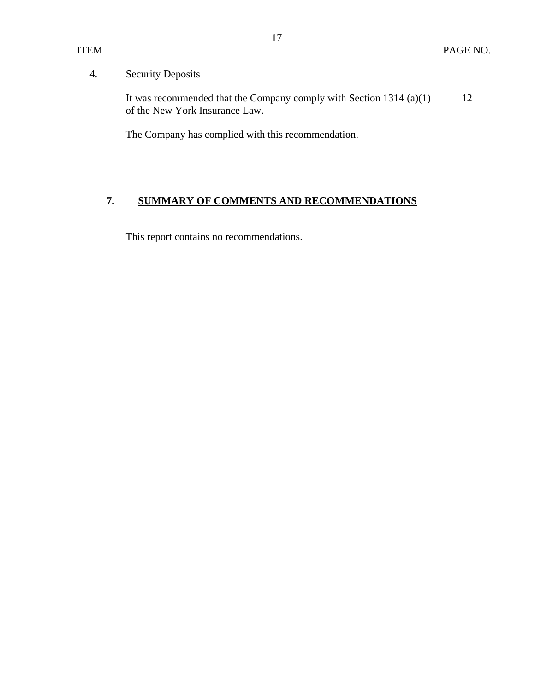# <span id="page-18-0"></span>ITEM

# 4. Security Deposits

It was recommended that the Company comply with Section 1314 (a)(1) of the New York Insurance Law. 12

The Company has complied with this recommendation.

# **7. SUMMARY OF COMMENTS AND RECOMMENDATIONS**

This report contains no recommendations.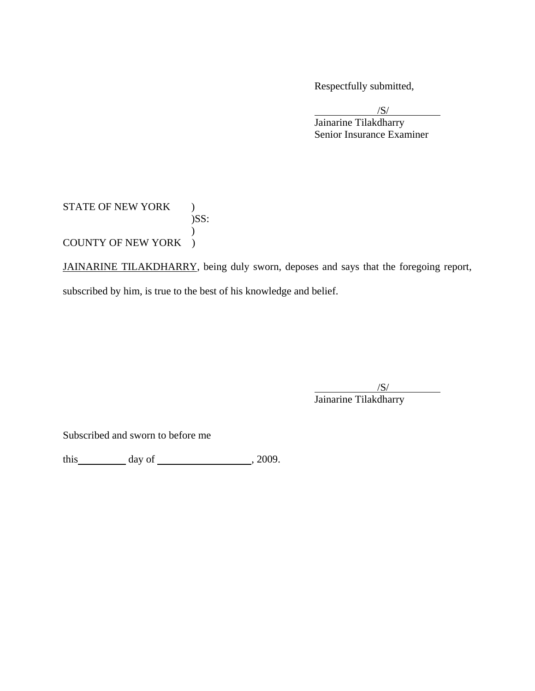Respectfully submitted,

 $\sqrt{S}$  Jainarine Tilakdharry Senior Insurance Examiner

# STATE OF NEW YORK ) )SS:  $\mathcal{L}$ COUNTY OF NEW YORK )

JAINARINE TILAKDHARRY, being duly sworn, deposes and says that the foregoing report, subscribed by him, is true to the best of his knowledge and belief.

 $\overline{\phantom{a}}$ /S/ Jainarine Tilakdharry

Subscribed and sworn to before me

this  $\qquad \qquad$  day of  $\qquad \qquad$  , 2009.